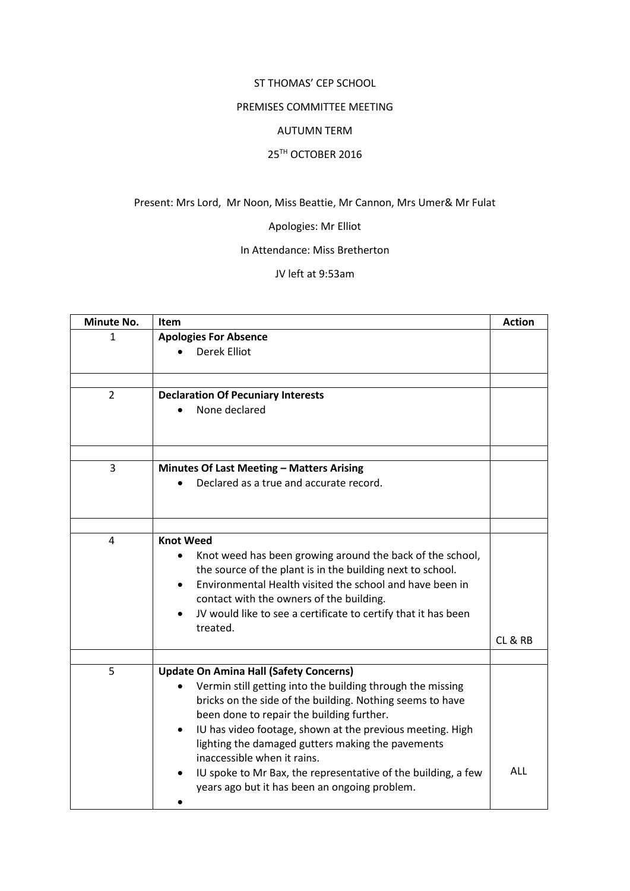#### ST THOMAS' CEP SCHOOL

## PREMISES COMMITTEE MEETING

#### AUTUMN TERM

### 25TH OCTOBER 2016

## Present: Mrs Lord, Mr Noon, Miss Beattie, Mr Cannon, Mrs Umer& Mr Fulat

# Apologies: Mr Elliot

## In Attendance: Miss Bretherton

### JV left at 9:53am

| Minute No.     | Item                                                                                                                                                                                                                                                                                                                                                                                                                                    | <b>Action</b> |
|----------------|-----------------------------------------------------------------------------------------------------------------------------------------------------------------------------------------------------------------------------------------------------------------------------------------------------------------------------------------------------------------------------------------------------------------------------------------|---------------|
| 1              | <b>Apologies For Absence</b>                                                                                                                                                                                                                                                                                                                                                                                                            |               |
|                | <b>Derek Elliot</b>                                                                                                                                                                                                                                                                                                                                                                                                                     |               |
|                |                                                                                                                                                                                                                                                                                                                                                                                                                                         |               |
| $\overline{2}$ | <b>Declaration Of Pecuniary Interests</b>                                                                                                                                                                                                                                                                                                                                                                                               |               |
|                | None declared                                                                                                                                                                                                                                                                                                                                                                                                                           |               |
|                |                                                                                                                                                                                                                                                                                                                                                                                                                                         |               |
| 3              | Minutes Of Last Meeting - Matters Arising                                                                                                                                                                                                                                                                                                                                                                                               |               |
|                | Declared as a true and accurate record.                                                                                                                                                                                                                                                                                                                                                                                                 |               |
|                |                                                                                                                                                                                                                                                                                                                                                                                                                                         |               |
| 4              | <b>Knot Weed</b><br>Knot weed has been growing around the back of the school,<br>the source of the plant is in the building next to school.<br>Environmental Health visited the school and have been in<br>contact with the owners of the building.<br>JV would like to see a certificate to certify that it has been<br>treated.                                                                                                       | CL & RB       |
|                |                                                                                                                                                                                                                                                                                                                                                                                                                                         |               |
| 5              | <b>Update On Amina Hall (Safety Concerns)</b><br>Vermin still getting into the building through the missing<br>bricks on the side of the building. Nothing seems to have<br>been done to repair the building further.<br>IU has video footage, shown at the previous meeting. High<br>lighting the damaged gutters making the pavements<br>inaccessible when it rains.<br>IU spoke to Mr Bax, the representative of the building, a few | <b>ALL</b>    |
|                | years ago but it has been an ongoing problem.                                                                                                                                                                                                                                                                                                                                                                                           |               |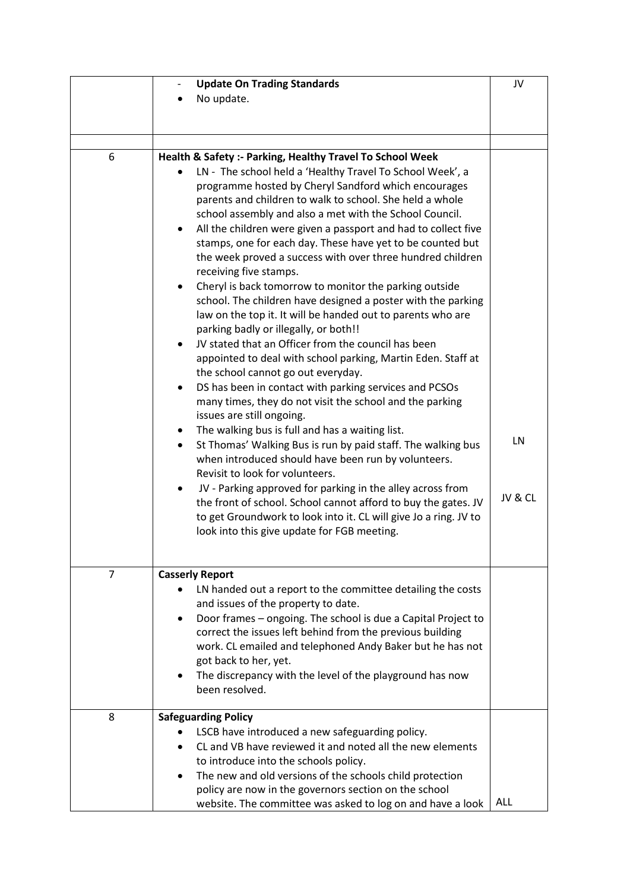|   | <b>Update On Trading Standards</b>                                                                                               | JV         |
|---|----------------------------------------------------------------------------------------------------------------------------------|------------|
|   | No update.                                                                                                                       |            |
|   |                                                                                                                                  |            |
|   |                                                                                                                                  |            |
|   |                                                                                                                                  |            |
| 6 | Health & Safety :- Parking, Healthy Travel To School Week                                                                        |            |
|   | LN - The school held a 'Healthy Travel To School Week', a                                                                        |            |
|   | programme hosted by Cheryl Sandford which encourages                                                                             |            |
|   | parents and children to walk to school. She held a whole                                                                         |            |
|   | school assembly and also a met with the School Council.                                                                          |            |
|   | All the children were given a passport and had to collect five<br>$\bullet$                                                      |            |
|   | stamps, one for each day. These have yet to be counted but                                                                       |            |
|   | the week proved a success with over three hundred children                                                                       |            |
|   | receiving five stamps.                                                                                                           |            |
|   | Cheryl is back tomorrow to monitor the parking outside                                                                           |            |
|   | school. The children have designed a poster with the parking                                                                     |            |
|   | law on the top it. It will be handed out to parents who are                                                                      |            |
|   | parking badly or illegally, or both!!                                                                                            |            |
|   | JV stated that an Officer from the council has been                                                                              |            |
|   | appointed to deal with school parking, Martin Eden. Staff at                                                                     |            |
|   | the school cannot go out everyday.                                                                                               |            |
|   | DS has been in contact with parking services and PCSOs                                                                           |            |
|   | many times, they do not visit the school and the parking                                                                         |            |
|   | issues are still ongoing.                                                                                                        |            |
|   | The walking bus is full and has a waiting list.<br>٠                                                                             | LN         |
|   | St Thomas' Walking Bus is run by paid staff. The walking bus<br>$\bullet$<br>when introduced should have been run by volunteers. |            |
|   | Revisit to look for volunteers.                                                                                                  |            |
|   | JV - Parking approved for parking in the alley across from                                                                       |            |
|   | the front of school. School cannot afford to buy the gates. JV                                                                   | JV & CL    |
|   | to get Groundwork to look into it. CL will give Jo a ring. JV to                                                                 |            |
|   | look into this give update for FGB meeting.                                                                                      |            |
|   |                                                                                                                                  |            |
|   |                                                                                                                                  |            |
| 7 | <b>Casserly Report</b>                                                                                                           |            |
|   | LN handed out a report to the committee detailing the costs                                                                      |            |
|   | and issues of the property to date.                                                                                              |            |
|   | Door frames - ongoing. The school is due a Capital Project to<br>٠                                                               |            |
|   | correct the issues left behind from the previous building                                                                        |            |
|   | work. CL emailed and telephoned Andy Baker but he has not                                                                        |            |
|   | got back to her, yet.                                                                                                            |            |
|   | The discrepancy with the level of the playground has now                                                                         |            |
|   | been resolved.                                                                                                                   |            |
|   |                                                                                                                                  |            |
| 8 | <b>Safeguarding Policy</b>                                                                                                       |            |
|   | LSCB have introduced a new safeguarding policy.                                                                                  |            |
|   | CL and VB have reviewed it and noted all the new elements                                                                        |            |
|   | to introduce into the schools policy.                                                                                            |            |
|   | The new and old versions of the schools child protection                                                                         |            |
|   | policy are now in the governors section on the school                                                                            | <b>ALL</b> |
|   | website. The committee was asked to log on and have a look                                                                       |            |